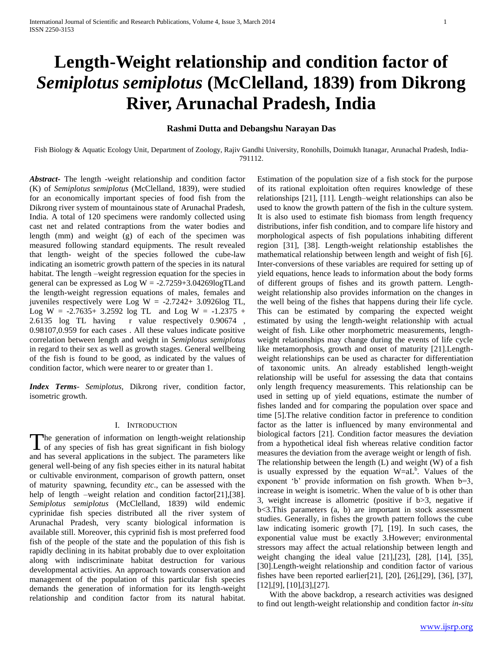# **Length-Weight relationship and condition factor of**  *Semiplotus semiplotus* **(McClelland, 1839) from Dikrong River, Arunachal Pradesh, India**

# **Rashmi Dutta and Debangshu Narayan Das**

Fish Biology & Aquatic Ecology Unit, Department of Zoology, Rajiv Gandhi University, Ronohills, Doimukh Itanagar, Arunachal Pradesh, India-791112.

*Abstract***-** The length -weight relationship and condition factor (K) of *Semiplotus semiplotus* (McClelland, 1839), were studied for an economically important species of food fish from the Dikrong river system of mountainous state of Arunachal Pradesh, India. A total of 120 specimens were randomly collected using cast net and related contraptions from the water bodies and length (mm) and weight (g) of each of the specimen was measured following standard equipments. The result revealed that length- weight of the species followed the cube-law indicating an isometric growth pattern of the species in its natural habitat. The length –weight regression equation for the species in general can be expressed as  $Log W = -2.7259 + 3.04269 log T Land$ the length-weight regression equations of males, females and juveniles respectively were Log  $W = -2.7242 + 3.0926$ log TL, Log W =  $-2.7635+3.2592$  log TL and Log W =  $-1.2375 +$ 2.6135 log TL having r value respectively 0.90674 , 0.98107,0.959 for each cases . All these values indicate positive correlation between length and weight in *Semiplotus semiplotus*  in regard to their sex as well as growth stages*.* General wellbeing of the fish is found to be good, as indicated by the values of condition factor, which were nearer to or greater than 1.

*Index Terms*- *Semiplotus,* Dikrong river, condition factor, isometric growth.

# I. INTRODUCTION

he generation of information on length-weight relationship The generation of information on length-weight relationship<br>of any species of fish has great significant in fish biology<br>with and has several applications in the subject. The parameters like general well-being of any fish species either in its natural habitat or cultivable environment, comparison of growth pattern, onset of maturity spawning, fecundity *etc*., can be assessed with the help of length –weight relation and condition factor[21],[38]. *Semiplotus semiplotus* (McClelland, 1839) wild endemic cyprinidae fish species distributed all the river system of Arunachal Pradesh, very scanty biological information is available still. Moreover, this cyprinid fish is most preferred food fish of the people of the state and the population of this fish is rapidly declining in its habitat probably due to over exploitation along with indiscriminate habitat destruction for various developmental activities. An approach towards conservation and management of the population of this particular fish species demands the generation of information for its length-weight relationship and condition factor from its natural habitat.

Estimation of the population size of a fish stock for the purpose of its rational exploitation often requires knowledge of these relationships [21], [11]. Length–weight relationships can also be used to know the growth pattern of the fish in the culture system. It is also used to estimate fish biomass from length frequency distributions, infer fish condition, and to compare life history and morphological aspects of fish populations inhabiting different region [31], [38]. Length-weight relationship establishes the mathematical relationship between length and weight of fish [6]. Inter-conversions of these variables are required for setting up of yield equations, hence leads to information about the body forms of different groups of fishes and its growth pattern. Lengthweight relationship also provides information on the changes in the well being of the fishes that happens during their life cycle. This can be estimated by comparing the expected weight estimated by using the length-weight relationship with actual weight of fish. Like other morphometric measurements, lengthweight relationships may change during the events of life cycle like metamorphosis, growth and onset of maturity [21].Lengthweight relationships can be used as character for differentiation of taxonomic units. An already established length-weight relationship will be useful for assessing the data that contains only length frequency measurements. This relationship can be used in setting up of yield equations, estimate the number of fishes landed and for comparing the population over space and time [5].The relative condition factor in preference to condition factor as the latter is influenced by many environmental and biological factors [21]. Condition factor measures the deviation from a hypothetical ideal fish whereas relative condition factor measures the deviation from the average weight or length of fish. The relationship between the length (L) and weight (W) of a fish is usually expressed by the equation  $W= aL^b$ . Values of the exponent 'b' provide information on fish growth. When  $b=3$ , increase in weight is isometric. When the value of b is other than 3, weight increase is allometric (positive if b>3, negative if b<3.This parameters (a, b) are important in stock assessment studies. Generally, in fishes the growth pattern follows the cube law indicating isomeric growth [7], [19]. In such cases, the exponential value must be exactly 3.However; environmental stressors may affect the actual relationship between length and weight changing the ideal value [21],[23], [28], [14], [35], [30].Length-weight relationship and condition factor of various fishes have been reported earlier[21], [20], [26],[29], [36], [37], [12],[9], [10],[3],[27].

 With the above backdrop, a research activities was designed to find out length-weight relationship and condition factor *in-situ*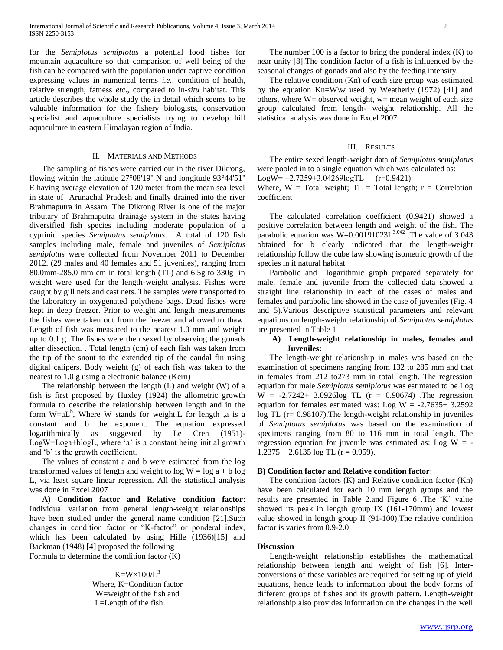for the *Semiplotus semiplotus* a potential food fishes for mountain aquaculture so that comparison of well being of the fish can be compared with the population under captive condition expressing values in numerical terms *i.e.,* condition of health, relative strength, fatness *etc*., compared to in*-situ* habitat. This article describes the whole study the in detail which seems to be valuable information for the fishery biologists, conservation specialist and aquaculture specialists trying to develop hill aquaculture in eastern Himalayan region of India.

# II. MATERIALS AND METHODS

 The sampling of fishes were carried out in the river Dikrong, flowing within the latitude 27°08'19'' N and longitude 93°44'51'' E having average elevation of 120 meter from the mean sea level in state of Arunachal Pradesh and finally drained into the river Brahmaputra in Assam. The Dikrong River is one of the major tributary of Brahmaputra drainage system in the states having diversified fish species including moderate population of a cyprinid species *Semiplotus semiplotus*. A total of 120 fish samples including male, female and juveniles of *Semiplotus semiplotus* were collected from November 2011 to December 2012. (29 males and 40 females and 51 juveniles), ranging from 80.0mm-285.0 mm cm in total length (TL) and 6.5g to 330g in weight were used for the length-weight analysis. Fishes were caught by gill nets and cast nets. The samples were transported to the laboratory in oxygenated polythene bags. Dead fishes were kept in deep freezer. Prior to weight and length measurements the fishes were taken out from the freezer and allowed to thaw. Length of fish was measured to the nearest 1.0 mm and weight up to 0.1 g. The fishes were then sexed by observing the gonads after dissection. . Total length (cm) of each fish was taken from the tip of the snout to the extended tip of the caudal fin using digital calipers. Body weight (g) of each fish was taken to the nearest to 1.0 g using a electronic balance (Kern)

 The relationship between the length (L) and weight (W) of a fish is first proposed by Huxley (1924) the allometric growth formula to describe the relationship between length and in the form  $W=aL^b$ , Where W stands for weight, L for length ,a is a constant and b the exponent. The equation expressed logarithmically as suggested by Le Cren (1951)- LogW=Loga+blogL, where 'a' is a constant being initial growth and 'b' is the growth coefficient.

 The values of constant a and b were estimated from the log transformed values of length and weight to  $log W = log a + b log$ L, via least square linear regression. All the statistical analysis was done in Excel 2007

 **A) Condition factor and Relative condition factor**: Individual variation from general length-weight relationships have been studied under the general name condition [21].Such changes in condition factor or "K-factor" or ponderal index, which has been calculated by using Hille (1936)[15] and Backman (1948) [4] proposed the following Formula to determine the condition factor (K)

> $K=W\times100/L^3$ Where, K=Condition factor W=weight of the fish and L=Length of the fish

The number 100 is a factor to bring the ponderal index  $(K)$  to near unity [8].The condition factor of a fish is influenced by the seasonal changes of gonads and also by the feeding intensity.

 The relative condition (Kn) of each size group was estimated by the equation Kn=W\w used by Weatherly (1972) [41] and others, where  $W =$  observed weight,  $w =$  mean weight of each size group calculated from length- weight relationship. All the statistical analysis was done in Excel 2007.

#### III. RESULTS

 The entire sexed length-weight data of *Semiplotus semiplotus*  were pooled in to a single equation which was calculated as:

LogW= −2.7259+3.04269logTL (r=0.9421)

Where,  $W = Total weight$ ;  $TL = Total length$ ;  $r = Correlation$ coefficient

 The calculated correlation coefficient (0.9421) showed a positive correlation between length and weight of the fish. The parabolic equation was  $W=0.00191023L^{3.042}$ . The value of 3.043 obtained for b clearly indicated that the length-weight relationship follow the cube law showing isometric growth of the species in it natural habitat

 Parabolic and logarithmic graph prepared separately for male, female and juvenile from the collected data showed a straight line relationship in each of the cases of males and females and parabolic line showed in the case of juveniles (Fig. 4 and 5).Various descriptive statistical parameters and relevant equations on length-weight relationship of *Semiplotus semiplotus*  are presented in Table 1

# **A) Length-weight relationship in males, females and Juveniles:**

 The length-weight relationship in males was based on the examination of specimens ranging from 132 to 285 mm and that in females from 212 to273 mm in total length. The regression equation for male *Semiplotus semiplotus* was estimated to be Log  $W = -2.7242 + 3.0926 \log TL (r = 0.90674)$ . The regression equation for females estimated was: Log  $W = -2.7635 + 3.2592$ log TL (r= 0.98107).The length-weight relationship in juveniles of *Semiplotus semiplotus* was based on the examination of specimens ranging from 80 to 116 mm in total length. The regression equation for juvenile was estimated as: Log  $W = 1.2375 + 2.6135 \log TL (r = 0.959).$ 

### **B) Condition factor and Relative condition factor**:

 The condition factors (K) and Relative condition factor (Kn) have been calculated for each 10 mm length groups and the results are presented in Table 2.and Figure 6 .The 'K' value showed its peak in length group IX (161-170mm) and lowest value showed in length group II (91-100).The relative condition factor is varies from 0.9-2.0

#### **Discussion**

 Length-weight relationship establishes the mathematical relationship between length and weight of fish [6]. Interconversions of these variables are required for setting up of yield equations, hence leads to information about the body forms of different groups of fishes and its growth pattern. Length-weight relationship also provides information on the changes in the well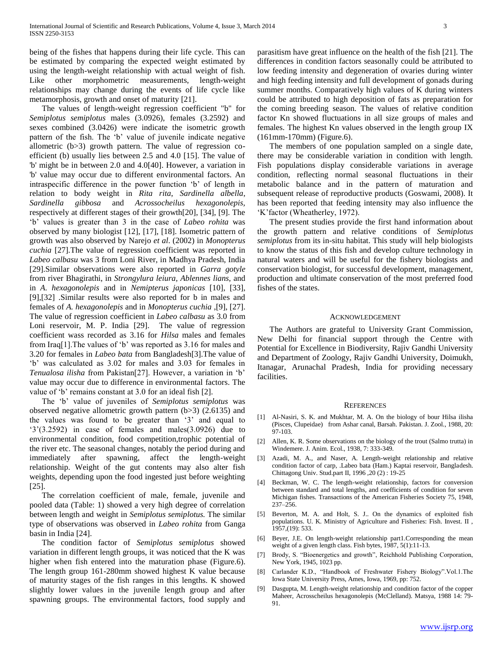being of the fishes that happens during their life cycle. This can be estimated by comparing the expected weight estimated by using the length-weight relationship with actual weight of fish. Like other morphometric measurements, length-weight relationships may change during the events of life cycle like metamorphosis, growth and onset of maturity [21].

 The values of length-weight regression coefficient "b" for *Semiplotus semiplotus* males (3.0926), females (3.2592) and sexes combined (3.0426) were indicate the isometric growth pattern of the fish. The 'b' value of juvenile indicate negative allometric (b>3) growth pattern. The value of regression coefficient (b) usually lies between 2.5 and 4.0 [15]. The value of 'b' might be in between 2.0 and 4.0[40]. However, a variation in 'b' value may occur due to different environmental factors. An intraspecific difference in the power function 'b' of length in relation to body weight in *Rita rita*, *Sardinella albella*, *Sardinella gibbosa* and *Acrossocheilus hexagonolepis,*  respectively at different stages of their growth[20], [34], [9]. The 'b' values is greater than 3 in the case of *Labeo rohita* was observed by many biologist [12], [17], [18]. Isometric pattern of growth was also observed by Narejo *et al*. (2002) in *Monopterus cuchia* [27]*.*The value of regression coefficient was reported in *Labeo calbasu* was 3 from Loni River, in Madhya Pradesh, India [29].Similar observations were also reported in *Garra gotyle*  from river Bhagirathi, in *Strongylura leiura, Ablennes lians,* and in *A. hexagonolepis* and in *Nemipterus japonicas* [10], [33], [9],[32] .Similar results were also reported for b in males and females of *A. hexagonolepis* and in *Monopterus cuchia* ,[9], [27]. The value of regression coefficient in *Labeo calbasu* as 3.0 from Loni reservoir, M. P. India [29]. The value of regression coefficient wass recorded as 3.16 for *Hilsa* males and females from Iraq[1].The values of 'b' was reported as 3.16 for males and 3.20 for females in *Labeo bata* from Bangladesh[3].The value of 'b' was calculated as 3.02 for males and 3.03 for females in *Tenualosa ilisha* from Pakistan[27]. However, a variation in 'b' value may occur due to difference in environmental factors. The value of 'b' remains constant at 3.0 for an ideal fish [2].

 The 'b' value of juveniles of *Semiplotus semiplotus* was observed negative allometric growth pattern (b>3) (2.6135) and the values was found to be greater than '3' and equal to  $(3)(3.2592)$  in case of females and males $(3.0926)$  due to environmental condition, food competition,trophic potential of the river etc. The seasonal changes, notably the period during and immediately after spawning, affect the length-weight relationship. Weight of the gut contents may also alter fish weights, depending upon the food ingested just before weighting [25].

 The correlation coefficient of male, female, juvenile and pooled data (Table: 1) showed a very high degree of correlation between length and weight in *Semiplotus semiplotus.* The similar type of observations was observed in *Labeo rohita* from Ganga basin in India [24]*.*

 The condition factor of *Semiplotus semiplotus* showed variation in different length groups, it was noticed that the K was higher when fish entered into the maturation phase (Figure.6). The length group 161-280mm showed highest K value because of maturity stages of the fish ranges in this lengths. K showed slightly lower values in the juvenile length group and after spawning groups. The environmental factors, food supply and

parasitism have great influence on the health of the fish [21]. The differences in condition factors seasonally could be attributed to low feeding intensity and degeneration of ovaries during winter and high feeding intensity and full development of gonads during summer months. Comparatively high values of K during winters could be attributed to high deposition of fats as preparation for the coming breeding season. The values of relative condition factor Kn showed fluctuations in all size groups of males and females. The highest Kn values observed in the length group IX (161mm-170mm) (Figure.6).

 The members of one population sampled on a single date, there may be considerable variation in condition with length. Fish populations display considerable variations in average condition, reflecting normal seasonal fluctuations in their metabolic balance and in the pattern of maturation and subsequent release of reproductive products (Goswami, 2008). It has been reported that feeding intensity may also influence the 'K'factor (Wheatherley, 1972).

 The present studies provide the first hand information about the growth pattern and relative conditions of *Semiplotus semiplotus* from its in-situ habitat. This study will help biologists to know the status of this fish and develop culture technology in natural waters and will be useful for the fishery biologists and conservation biologist, for successful development, management, production and ultimate conservation of the most preferred food fishes of the states.

## ACKNOWLEDGEMENT

 The Authors are grateful to University Grant Commission, New Delhi for financial support through the Centre with Potential for Excellence in Biodiversity, Rajiv Gandhi University and Department of Zoology, Rajiv Gandhi University, Doimukh, Itanagar, Arunachal Pradesh, India for providing necessary facilities.

#### **REFERENCES**

- [1] Al-Nasiri, S. K. and Mukhtar, M. A. On the biology of bour Hilsa ilisha (Pisces, Clupeidae) from Ashar canal, Barsah. Pakistan. J. Zool., 1988, 20: 97-103.
- [2] Allen, K. R. Some observations on the biology of the trout (Salmo trutta) in Windemere. J. Anim. Ecol., 1938, 7: 333-349.
- [3] Azadi, M. A., and Naser, A. Length-weight relationship and relative condition factor of carp, .Labeo bata (Ham.) Kaptai reservoir, Bangladesh. Chittagong Univ. Stud.part II, 1996 ,20 (2) : 19-25
- [4] Beckman, W. C. The length-weight relationship, factors for conversion between standard and total lengths, and coefficients of condition for seven Michigan fishes. Transactions of the American Fisheries Society 75, 1948, 237–256.
- [5] Beverton, M. A. and Holt, S. J.. On the dynamics of exploited fish populations. U. K. Ministry of Agriculture and Fisheries: Fish. Invest. II , 1957,(19): 533.
- [6] Beyer, J.E. On length-weight relationship part1.Corresponding the mean weight of a given length class. Fish bytes, 1987, 5(1):11-13.
- [7] Brody, S. "Bioenergetics and growth", Reichhold Publishing Corporation, New York, 1945, 1023 pp.
- [8] Carlander K.D., "Handbook of Freshwater Fishery Biology".Vol.1.The Iowa State University Press, Ames, Iowa, 1969, pp: 752.
- [9] Dasgupta, M. Length-weight relationship and condition factor of the copper Maheer, Acrosscheilus hexagonolepis (McClelland). Matsya, 1988 14: 79- 91.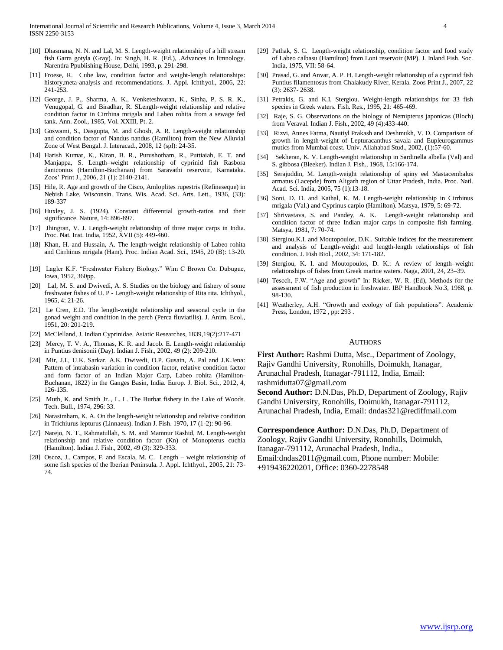- [10] Dhasmana, N. N. and Lal, M. S. Length-weight relationship of a hill stream fish Garra gotyla (Gray). In: Singh, H. R. (Ed.), .Advances in limnology. Narendra Ppublishing House, Delhi, 1993, p. 291-298.
- [11] Froese, R. Cube law, condition factor and weight-length relationships: history,meta-analysis and recommendations. J. Appl. Ichthyol., 2006, 22: 241-253.
- [12] George, J. P., Sharma, A. K., Venketeshvaran, K., Sinha, P. S. R. K., Venugopal, G. and Biradhar, R. SLength-weight relationship and relative condition factor in Cirrhina mrigala and Labeo rohita from a sewage fed tank. Ann. Zool., 1985, Vol. XXIII, Pt. 2.
- [13] Goswami, S., Dasgupta, M. and Ghosh, A. R. Length-weight relationship and condition factor of Nandus nandus (Hamilton) from the New Alluvial Zone of West Bengal. J. Interacad., 2008, 12 (spl): 24-35.
- [14] Harish Kumar, K., Kiran, B. R., Purushotham, R., Puttiaiah, E. T. and Manjappa, S. Length–weight relationship of cyprinid fish Rasbora daniconius (Hamilton-Buchanan) from Saravathi reservoir, Karnataka. Zoos' Print J., 2006, 21 (1): 2140-2141.
- [15] Hile, R. Age and growth of the Cisco, Amloplites rupestris (Refineseque) in Nebish Lake, Wisconsin. Trans. Wis. Acad. Sci. Arts. Lett., 1936, (33): 189-337
- [16] Huxley, J. S. (1924). Constant differential growth-ratios and their significance. Nature, 14: 896-897.
- [17] Jhingran, V. J. Length-weight relationship of three major carps in India. Proc. Nat. Inst. India, 1952, XVII (5): 449-460.
- [18] Khan, H. and Hussain, A. The length-weight relationship of Labeo rohita and Cirrhinus mrigala (Ham). Proc. Indian Acad. Sci., 1945, 20 (B): 13-20.
- [19] Lagler K.F. "Freshwater Fishery Biology." Wim C Brown Co. Dubugue, Iowa, 1952, 360pp.
- [20] Lal, M. S. and Dwivedi, A. S. Studies on the biology and fishery of some freshwater fishes of U. P - Length-weight relationship of Rita rita. Ichthyol., 1965, 4: 21-26.
- [21] Le Cren, E.D. The length-weight relationship and seasonal cycle in the gonad weight and condition in the perch (Perca fluviatilis). J. Anim. Ecol., 1951, 20: 201-219.
- [22] McClelland, J. Indian Cyprinidae. Asiatic Researches, 1839,19(2):217-471
- [23] Mercy, T. V. A., Thomas, K. R. and Jacob. E. Length-weight relationship in Puntius denisonii (Day). Indian J. Fish., 2002, 49 (2): 209-210.
- [24] Mir, J.I., U.K. Sarkar, A.K. Dwivedi, O.P. Gusain, A. Pal and J.K.Jena: Pattern of intrabasin variation in condition factor, relative condition factor and form factor of an Indian Major Carp, Labeo rohita (Hamilton-Buchanan, 1822) in the Ganges Basin, India. Europ. J. Biol. Sci., 2012, 4, 126-135.
- [25] Muth, K. and Smith Jr.., L. L. The Burbat fishery in the Lake of Woods. Tech. Bull., 1974, 296: 33.
- [26] Narasimham, K. A. On the length-weight relationship and relative condition in Trichiurus lepturus (Linnaeus). Indian J. Fish. 1970, 17 (1-2): 90-96.
- [27] Narejo, N. T., Rahmatullah, S. M. and Mamnur Rashid, M. Length-weight relationship and relative condition factor (Kn) of Monopterus cuchia (Hamilton). Indian J. Fish., 2002, 49 (3): 329-333.
- [28] Oscoz, J., Campos, F. and Escala, M. C. Length weight relationship of some fish species of the Iberian Peninsula. J. Appl. Ichthyol., 2005, 21: 73- 74.
- [29] Pathak, S. C. Length-weight relationship, condition factor and food study of Labeo calbasu (Hamilton) from Loni reservoir (MP). J. Inland Fish. Soc. India, 1975, VII: 58-64.
- [30] Prasad, G. and Anvar, A. P. H. Length-weight relationship of a cyprinid fish Puntius filamentosus from Chalakudy River, Kerala. Zoos Print J., 2007, 22 (3): 2637- 2638.
- [31] Petrakis, G. and K.I. Stergiou. Weight-length relationships for 33 fish species in Greek waters. Fish. Res., 1995, 21: 465-469.
- [32] Raje, S. G. Observations on the biology of Nemipterus japonicas (Bloch) from Veraval. Indian J. Fish., 2002, 49 (4):433-440.
- [33] Rizvi, Annes Fatma, Nautiyl Prakash and Deshmukh, V. D. Comparison of growth in length-weight of Lepturacanthus savala and Eupleurogammus mutics from Mumbai coast. Univ. Allahabad Stud., 2002, (1):57-60.
- [34] Sekheran, K. V. Length-weight relationship in Sardinella albella (Val) and S. gibbosa (Bleeker). Indian J. Fish., 1968, 15:166-174.
- [35] Serajuddin, M. Length-weight relationship of spiny eel Mastacembalus armatus (Lacepde) from Aligarh region of Uttar Pradesh, India. Proc. Natl. Acad. Sci. India, 2005, 75 (1):13-18.
- [36] Soni, D. D. and Kathal, K. M. Length-weight relationship in Cirrhinus mrigala (Val.) and Cyprinus carpio (Hamilton). Matsya, 1979, 5: 69-72.
- [37] Shrivastava, S. and Pandey, A. K. Length-weight relationship and condition factor of three Indian major carps in composite fish farming. Matsya, 1981, 7: 70-74.
- [38] Stergiou,K.I. and Moutopoulos, D.K.. Suitable indices for the measurement and analysis of Length-weight and length-length relationships of fish condition. J. Fish Biol., 2002, 34: 171-182.
- [39] Stergiou, K. I. and Moutopoulos, D. K.: A review of length–weight relationships of fishes from Greek marine waters. Naga, 2001, 24, 23–39.
- [40] Tescch, F.W. "Age and growth" In: Ricker, W. R. (Ed), Methods for the assessment of fish production in freshwater. IBP Handbook No.3, 1968, p. 98-130.
- [41] Weatherley, A.H. "Growth and ecology of fish populations". Academic Press, London, 1972 , pp: 293 .

#### AUTHORS

**First Author:** Rashmi Dutta, Msc., Department of Zoology, Rajiv Gandhi University, Ronohills, Doimukh, Itanagar, Arunachal Pradesh, Itanagar-791112, India, Email: rashmidutta07@gmail.com

**Second Author:** D.N.Das, Ph.D, Department of Zoology, Rajiv Gandhi University, Ronohills, Doimukh, Itanagar-791112, Arunachal Pradesh, India, Email: dndas321@rediffmail.com

**Correspondence Author:** D.N.Das, Ph.D, Department of Zoology, Rajiv Gandhi University, Ronohills, Doimukh, Itanagar-791112, Arunachal Pradesh, India., Email:dndas2011@gmail.com, Phone number: Mobile: +919436220201, Office: 0360-2278548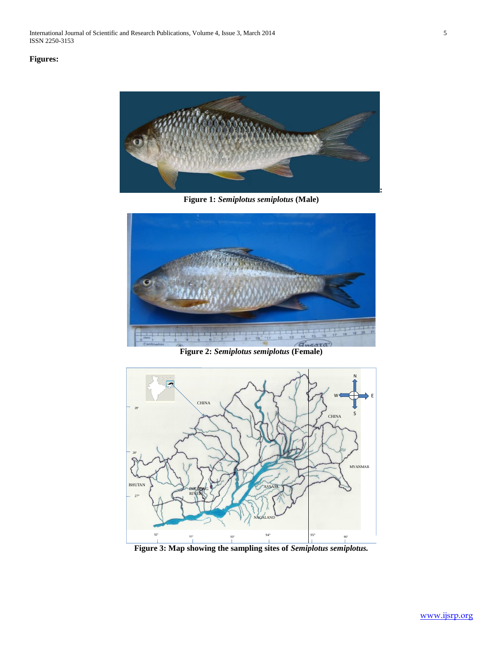International Journal of Scientific and Research Publications, Volume 4, Issue 3, March 2014 5 ISSN 2250-3153

# **Figures:**



**Figure 1:** *Semiplotus semiplotus* **(Male)**





**Figure 3: Map showing the sampling sites of** *Semiplotus semiplotus.*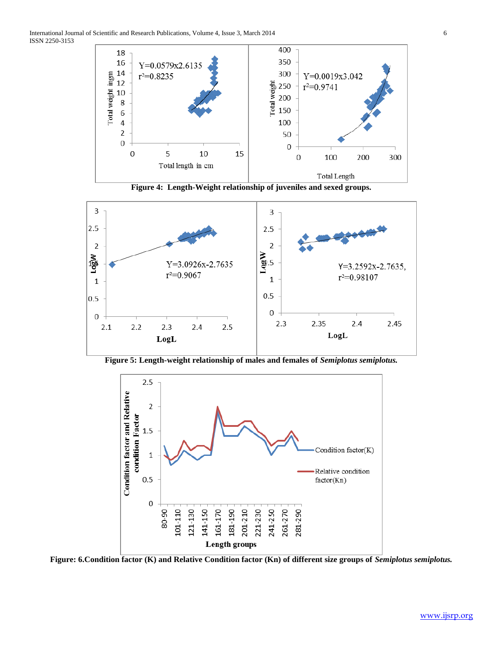





**Figure 5: Length-weight relationship of males and females of** *Semiplotus semiplotus.*



**Figure: 6.Condition factor (K) and Relative Condition factor (Kn) of different size groups of** *Semiplotus semiplotus.*